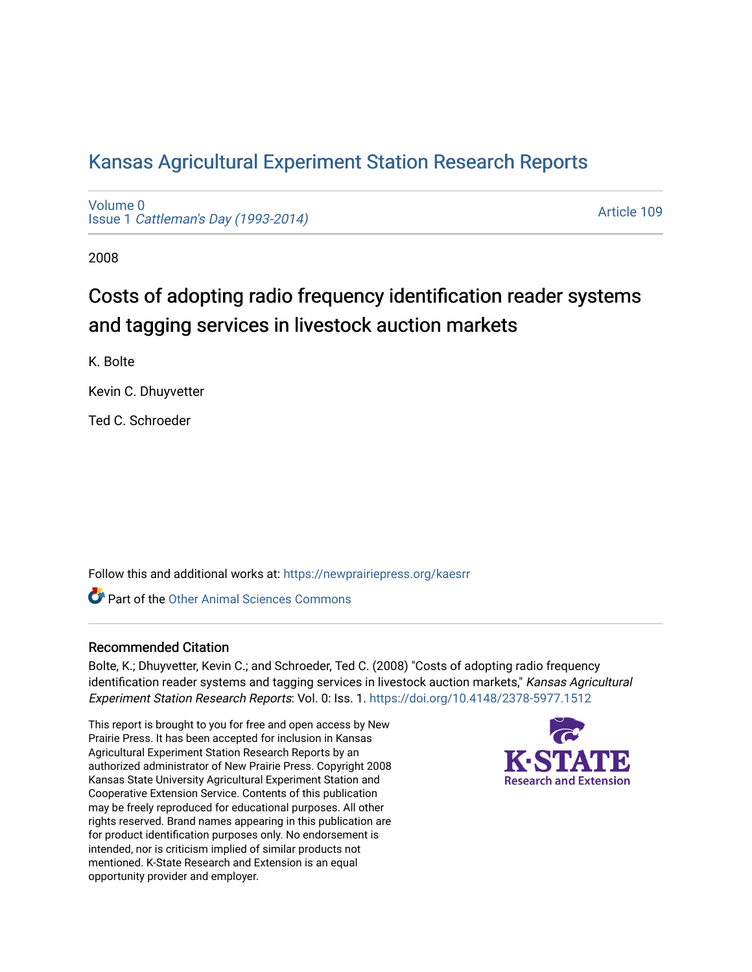# [Kansas Agricultural Experiment Station Research Reports](https://newprairiepress.org/kaesrr)

[Volume 0](https://newprairiepress.org/kaesrr/vol0) Issue 1 [Cattleman's Day \(1993-2014\)](https://newprairiepress.org/kaesrr/vol0/iss1) 

[Article 109](https://newprairiepress.org/kaesrr/vol0/iss1/109) 

2008

# Costs of adopting radio frequency identification reader systems and tagging services in livestock auction markets

K. Bolte

Kevin C. Dhuyvetter

Ted C. Schroeder

Follow this and additional works at: [https://newprairiepress.org/kaesrr](https://newprairiepress.org/kaesrr?utm_source=newprairiepress.org%2Fkaesrr%2Fvol0%2Fiss1%2F109&utm_medium=PDF&utm_campaign=PDFCoverPages) 

**C** Part of the [Other Animal Sciences Commons](http://network.bepress.com/hgg/discipline/82?utm_source=newprairiepress.org%2Fkaesrr%2Fvol0%2Fiss1%2F109&utm_medium=PDF&utm_campaign=PDFCoverPages)

#### Recommended Citation

Bolte, K.; Dhuyvetter, Kevin C.; and Schroeder, Ted C. (2008) "Costs of adopting radio frequency identification reader systems and tagging services in livestock auction markets," Kansas Agricultural Experiment Station Research Reports: Vol. 0: Iss. 1. <https://doi.org/10.4148/2378-5977.1512>

This report is brought to you for free and open access by New Prairie Press. It has been accepted for inclusion in Kansas Agricultural Experiment Station Research Reports by an authorized administrator of New Prairie Press. Copyright 2008 Kansas State University Agricultural Experiment Station and Cooperative Extension Service. Contents of this publication may be freely reproduced for educational purposes. All other rights reserved. Brand names appearing in this publication are for product identification purposes only. No endorsement is intended, nor is criticism implied of similar products not mentioned. K-State Research and Extension is an equal opportunity provider and employer.

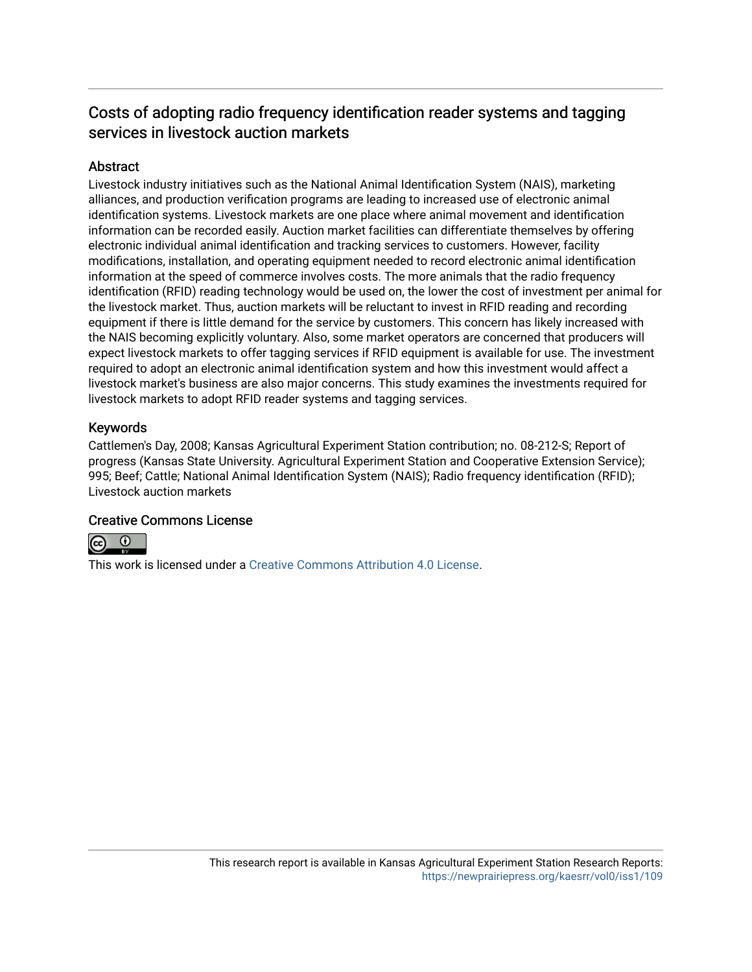## Costs of adopting radio frequency identification reader systems and tagging services in livestock auction markets

### **Abstract**

Livestock industry initiatives such as the National Animal Identification System (NAIS), marketing alliances, and production verification programs are leading to increased use of electronic animal identification systems. Livestock markets are one place where animal movement and identification information can be recorded easily. Auction market facilities can differentiate themselves by offering electronic individual animal identification and tracking services to customers. However, facility modifications, installation, and operating equipment needed to record electronic animal identification information at the speed of commerce involves costs. The more animals that the radio frequency identification (RFID) reading technology would be used on, the lower the cost of investment per animal for the livestock market. Thus, auction markets will be reluctant to invest in RFID reading and recording equipment if there is little demand for the service by customers. This concern has likely increased with the NAIS becoming explicitly voluntary. Also, some market operators are concerned that producers will expect livestock markets to offer tagging services if RFID equipment is available for use. The investment required to adopt an electronic animal identification system and how this investment would affect a livestock market's business are also major concerns. This study examines the investments required for livestock markets to adopt RFID reader systems and tagging services.

#### Keywords

Cattlemen's Day, 2008; Kansas Agricultural Experiment Station contribution; no. 08-212-S; Report of progress (Kansas State University. Agricultural Experiment Station and Cooperative Extension Service); 995; Beef; Cattle; National Animal Identification System (NAIS); Radio frequency identification (RFID); Livestock auction markets

#### Creative Commons License



This work is licensed under a [Creative Commons Attribution 4.0 License](https://creativecommons.org/licenses/by/4.0/).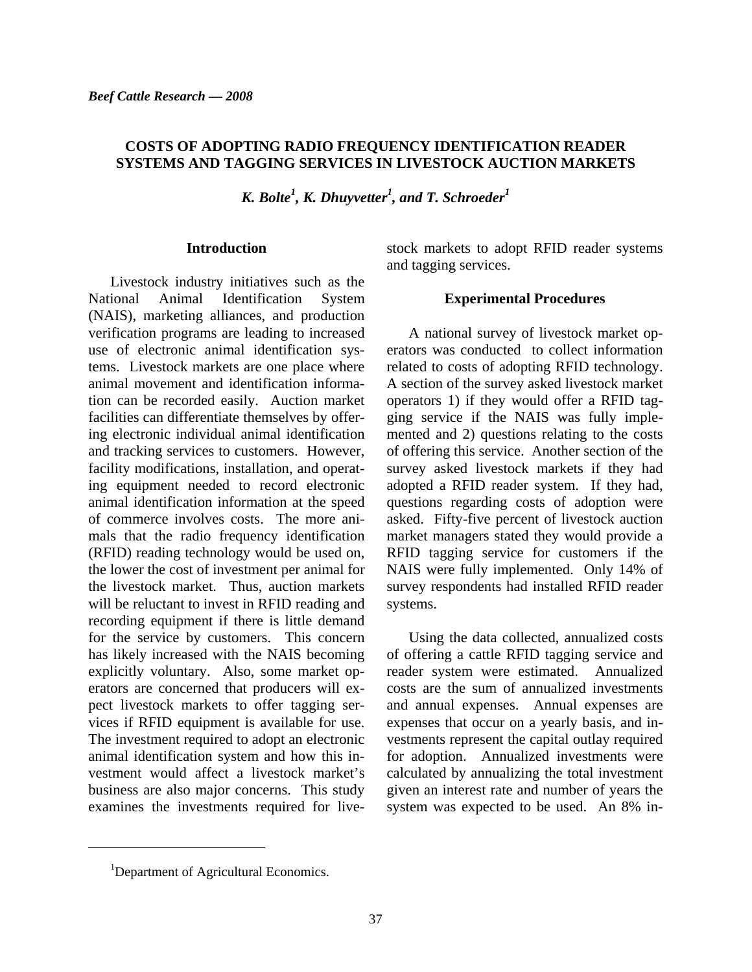#### **COSTS OF ADOPTING RADIO FREQUENCY IDENTIFICATION READER SYSTEMS AND TAGGING SERVICES IN LIVESTOCK AUCTION MARKETS**

*K. Bolte<sup>1</sup>, K. Dhuyvetter<sup>1</sup>, and T. Schroeder<sup>1</sup>* 

#### **Introduction**

Livestock industry initiatives such as the National Animal Identification System (NAIS), marketing alliances, and production verification programs are leading to increased use of electronic animal identification systems. Livestock markets are one place where animal movement and identification information can be recorded easily. Auction market facilities can differentiate themselves by offering electronic individual animal identification and tracking services to customers. However, facility modifications, installation, and operating equipment needed to record electronic animal identification information at the speed of commerce involves costs. The more animals that the radio frequency identification (RFID) reading technology would be used on, the lower the cost of investment per animal for the livestock market. Thus, auction markets will be reluctant to invest in RFID reading and recording equipment if there is little demand for the service by customers. This concern has likely increased with the NAIS becoming explicitly voluntary. Also, some market operators are concerned that producers will expect livestock markets to offer tagging services if RFID equipment is available for use. The investment required to adopt an electronic animal identification system and how this investment would affect a livestock market's business are also major concerns. This study examines the investments required for livestock markets to adopt RFID reader systems and tagging services.

#### **Experimental Procedures**

A national survey of livestock market operators was conducted to collect information related to costs of adopting RFID technology. A section of the survey asked livestock market operators 1) if they would offer a RFID tagging service if the NAIS was fully implemented and 2) questions relating to the costs of offering this service. Another section of the survey asked livestock markets if they had adopted a RFID reader system. If they had, questions regarding costs of adoption were asked. Fifty-five percent of livestock auction market managers stated they would provide a RFID tagging service for customers if the NAIS were fully implemented. Only 14% of survey respondents had installed RFID reader systems.

Using the data collected, annualized costs of offering a cattle RFID tagging service and reader system were estimated. Annualized costs are the sum of annualized investments and annual expenses. Annual expenses are expenses that occur on a yearly basis, and investments represent the capital outlay required for adoption. Annualized investments were calculated by annualizing the total investment given an interest rate and number of years the system was expected to be used. An 8% in-

l

<sup>&</sup>lt;sup>1</sup>Department of Agricultural Economics.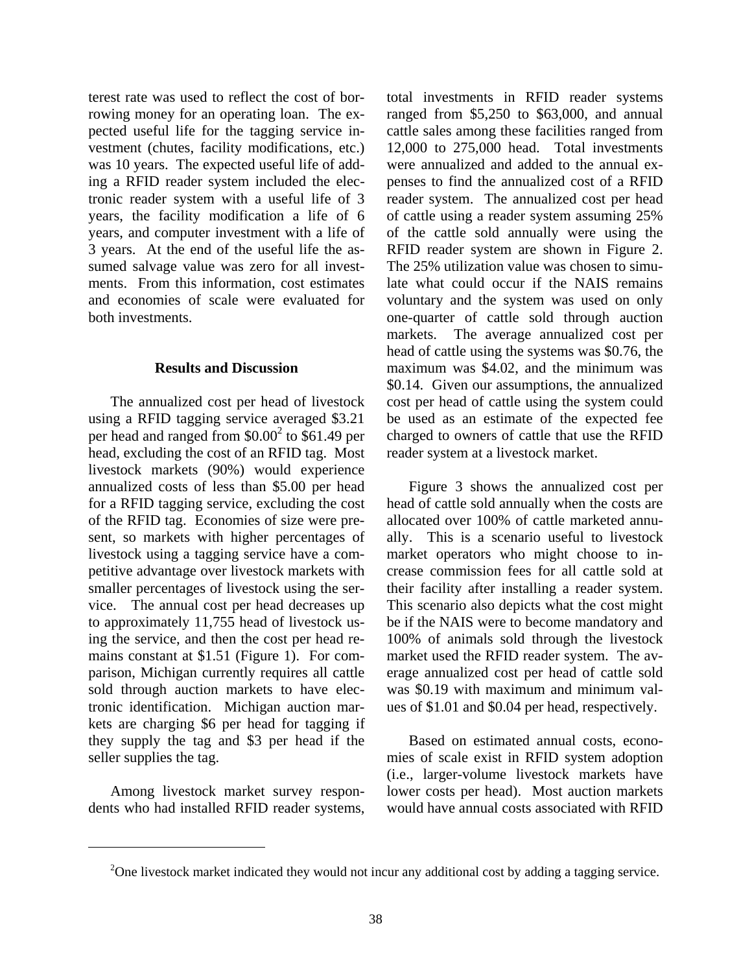terest rate was used to reflect the cost of borrowing money for an operating loan. The expected useful life for the tagging service investment (chutes, facility modifications, etc.) was 10 years. The expected useful life of adding a RFID reader system included the electronic reader system with a useful life of 3 years, the facility modification a life of 6 years, and computer investment with a life of 3 years. At the end of the useful life the assumed salvage value was zero for all investments. From this information, cost estimates and economies of scale were evaluated for both investments.

#### **Results and Discussion**

The annualized cost per head of livestock using a RFID tagging service averaged \$3.21 per head and ranged from  $$0.00^2$$  to  $$61.49$  per head, excluding the cost of an RFID tag. Most livestock markets (90%) would experience annualized costs of less than \$5.00 per head for a RFID tagging service, excluding the cost of the RFID tag. Economies of size were present, so markets with higher percentages of livestock using a tagging service have a competitive advantage over livestock markets with smaller percentages of livestock using the service. The annual cost per head decreases up to approximately 11,755 head of livestock using the service, and then the cost per head remains constant at \$1.51 (Figure 1). For comparison, Michigan currently requires all cattle sold through auction markets to have electronic identification. Michigan auction markets are charging \$6 per head for tagging if they supply the tag and \$3 per head if the seller supplies the tag.

 Among livestock market survey respondents who had installed RFID reader systems,

l

total investments in RFID reader systems ranged from \$5,250 to \$63,000, and annual cattle sales among these facilities ranged from 12,000 to 275,000 head. Total investments were annualized and added to the annual expenses to find the annualized cost of a RFID reader system. The annualized cost per head of cattle using a reader system assuming 25% of the cattle sold annually were using the RFID reader system are shown in Figure 2. The 25% utilization value was chosen to simulate what could occur if the NAIS remains voluntary and the system was used on only one-quarter of cattle sold through auction markets. The average annualized cost per head of cattle using the systems was \$0.76, the maximum was \$4.02, and the minimum was \$0.14. Given our assumptions, the annualized cost per head of cattle using the system could be used as an estimate of the expected fee charged to owners of cattle that use the RFID reader system at a livestock market.

 Figure 3 shows the annualized cost per head of cattle sold annually when the costs are allocated over 100% of cattle marketed annually. This is a scenario useful to livestock market operators who might choose to increase commission fees for all cattle sold at their facility after installing a reader system. This scenario also depicts what the cost might be if the NAIS were to become mandatory and 100% of animals sold through the livestock market used the RFID reader system. The average annualized cost per head of cattle sold was \$0.19 with maximum and minimum values of \$1.01 and \$0.04 per head, respectively.

Based on estimated annual costs, economies of scale exist in RFID system adoption (i.e., larger-volume livestock markets have lower costs per head). Most auction markets would have annual costs associated with RFID

<sup>&</sup>lt;sup>2</sup>One livestock market indicated they would not incur any additional cost by adding a tagging service.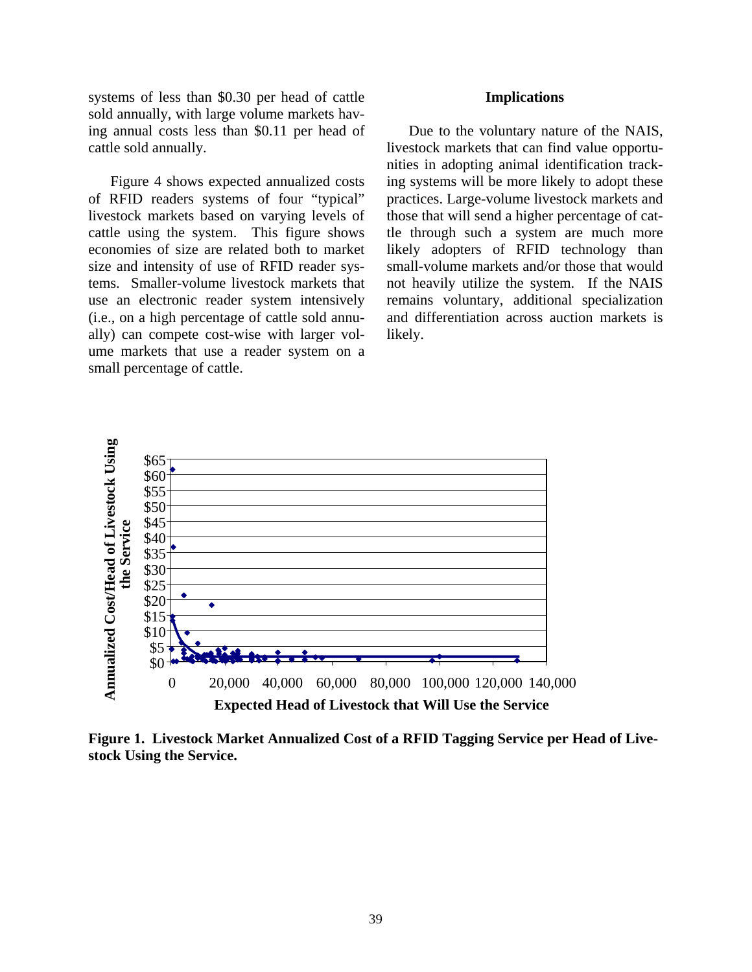systems of less than \$0.30 per head of cattle **Implications** sold annually, with large volume markets having annual costs less than \$0.11 per head of cattle sold annually.

 Figure 4 shows expected annualized costs of RFID readers systems of four "typical" livestock markets based on varying levels of cattle using the system. This figure shows economies of size are related both to market size and intensity of use of RFID reader systems. Smaller-volume livestock markets that use an electronic reader system intensively (i.e., on a high percentage of cattle sold annually) can compete cost-wise with larger volume markets that use a reader system on a small percentage of cattle.

Due to the voluntary nature of the NAIS, livestock markets that can find value opportunities in adopting animal identification tracking systems will be more likely to adopt these practices. Large-volume livestock markets and those that will send a higher percentage of cattle through such a system are much more likely adopters of RFID technology than small-volume markets and/or those that would not heavily utilize the system. If the NAIS remains voluntary, additional specialization and differentiation across auction markets is likely.



**Figure 1. Livestock Market Annualized Cost of a RFID Tagging Service per Head of Livestock Using the Service.**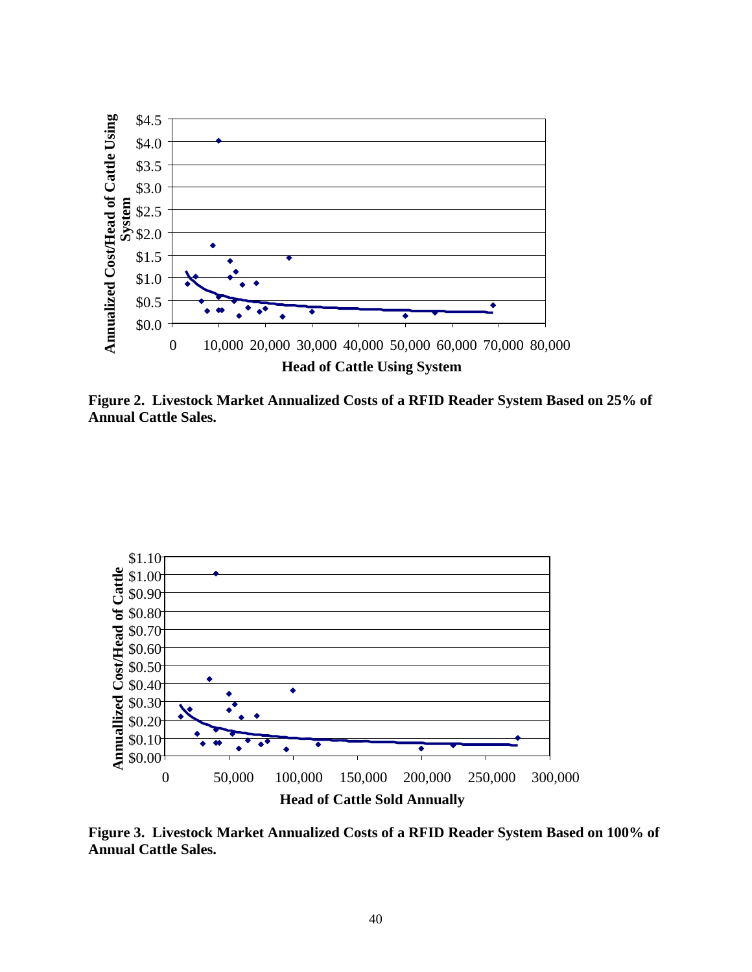

**Figure 2. Livestock Market Annualized Costs of a RFID Reader System Based on 25% of Annual Cattle Sales.** 



**Figure 3. Livestock Market Annualized Costs of a RFID Reader System Based on 100% of Annual Cattle Sales.**